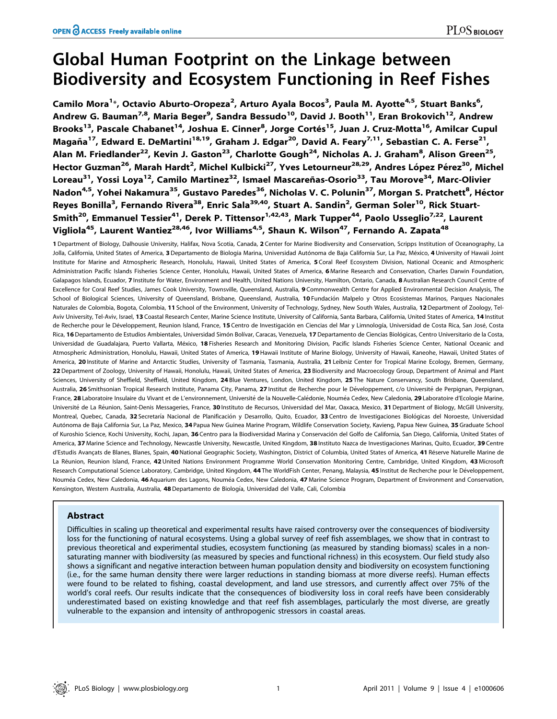# Global Human Footprint on the Linkage between Biodiversity and Ecosystem Functioning in Reef Fishes

Camilo Mora<sup>1</sup>\*, Octavio Aburto-Oropeza<sup>2</sup>, Arturo Ayala Bocos<sup>3</sup>, Paula M. Ayotte<sup>4,5</sup>, Stuart Banks<sup>6</sup>, Andrew G. Bauman<sup>7,8</sup>, Maria Beger<sup>9</sup>, Sandra Bessudo<sup>10</sup>, David J. Booth<sup>11</sup>, Eran Brokovich<sup>12</sup>, Andrew Brooks<sup>13</sup>, Pascale Chabanet<sup>14</sup>, Joshua E. Cinner<sup>8</sup>, Jorge Cortés<sup>15</sup>, Juan J. Cruz-Motta<sup>16</sup>, Amilcar Cupul Magaña<sup>17</sup>, Edward E. DeMartini<sup>18,19</sup>, Graham J. Edgar<sup>20</sup>, David A. Feary<sup>7,11</sup>, Sebastian C. A. Ferse<sup>21</sup>, Alan M. Friedlander<sup>22</sup>, Kevin J. Gaston<sup>23</sup>, Charlotte Gough<sup>24</sup>, Nicholas A. J. Graham<sup>8</sup>, Alison Green<sup>25</sup>, Hector Guzman<sup>26</sup>, Marah Hardt<sup>2</sup>, Michel Kulbicki<sup>27</sup>, Yves Letourneur<sup>28,29</sup>, Andres López Pérez<sup>30</sup>, Michel Loreau<sup>31</sup>, Yossi Lova<sup>12</sup>, Camilo Martinez<sup>32</sup>, Ismael Mascareñas-Osorio<sup>33</sup>, Tau Morove<sup>34</sup>, Marc-Olivier Nadon<sup>4,5</sup>, Yohei Nakamura<sup>35</sup>, Gustavo Paredes<sup>36</sup>, Nicholas V. C. Polunin<sup>37</sup>, Morgan S. Pratchett<sup>8</sup>, Héctor Reyes Bonilla<sup>3</sup>, Fernando Rivera<sup>38</sup>, Enric Sala<sup>39,40</sup>, Stuart A. Sandin<sup>2</sup>, German Soler<sup>10</sup>, Rick Stuart-Smith<sup>20</sup>, Emmanuel Tessier<sup>41</sup>, Derek P. Tittensor<sup>1,42,43</sup>, Mark Tupper<sup>44</sup>, Paolo Usseglio<sup>7,22</sup>, Laurent Vigliola<sup>45</sup>, Laurent Wantiez<sup>28,46</sup>, Ivor Williams<sup>4,5</sup>, Shaun K. Wilson<sup>47</sup>, Fernando A. Zapata<sup>48</sup>

1 Department of Biology, Dalhousie University, Halifax, Nova Scotia, Canada, 2 Center for Marine Biodiversity and Conservation, Scripps Institution of Oceanography, La Jolla, California, United States of America, 3 Departamento de Biologia Marina, Universidad Autónoma de Baja California Sur, La Paz, México, 4 University of Hawaii Joint Institute for Marine and Atmospheric Research, Honolulu, Hawaii, United States of America, 5 Coral Reef Ecosystem Division, National Oceanic and Atmospheric Administration Pacific Islands Fisheries Science Center, Honolulu, Hawaii, United States of America, 6 Marine Research and Conservation, Charles Darwin Foundation, Galapagos Islands, Ecuador, 7 Institute for Water, Environment and Health, United Nations University, Hamilton, Ontario, Canada, 8 Australian Research Council Centre of Excellence for Coral Reef Studies, James Cook University, Townsville, Queensland, Australia, 9 Commonwealth Centre for Applied Environmental Decision Analysis, The School of Biological Sciences, University of Queensland, Brisbane, Queensland, Australia, 10 Fundación Malpelo y Otros Ecosistemas Marinos, Parques Nacionales Naturales de Colombia, Bogota, Colombia, 11 School of the Environment, University of Technology, Sydney, New South Wales, Australia, 12 Department of Zoology, Tel-Aviv University, Tel-Aviv, Israel, 13 Coastal Research Center, Marine Science Institute, University of California, Santa Barbara, California, United States of America, 14 Institut de Recherche pour le Développement, Reunion Island, France, 15 Centro de Investigación en Ciencias del Mar y Limnología, Universidad de Costa Rica, San José, Costa Rica, 16 Departamento de Estudios Ambientales, Universidad Simón Bolívar, Caracas, Venezuela, 17 Departamento de Ciencias Biológicas, Centro Universitario de la Costa, Universidad de Guadalajara, Puerto Vallarta, México, 18 Fisheries Research and Monitoring Division, Pacific Islands Fisheries Science Center, National Oceanic and Atmospheric Administration, Honolulu, Hawaii, United States of America, 19 Hawaii Institute of Marine Biology, University of Hawaii, Kaneohe, Hawaii, United States of America, 20 Institute of Marine and Antarctic Studies, University of Tasmania, Tasmania, Australia, 21 Leibniz Center for Tropical Marine Ecology, Bremen, Germany, 22 Department of Zoology, University of Hawaii, Honolulu, Hawaii, United States of America, 23 Biodiversity and Macroecology Group, Department of Animal and Plant Sciences, University of Sheffield, Sheffield, United Kingdom, 24 Blue Ventures, London, United Kingdom, 25 The Nature Conservancy, South Brisbane, Queensland, Australia, 26 Smithsonian Tropical Research Institute, Panama City, Panama, 27 Institut de Recherche pour le Développement, c/o Université de Perpignan, Perpignan, France, 28 Laboratoire Insulaire du Vivant et de L'environnement, Université de la Nouvelle-Calédonie, Nouméa Cedex, New Caledonia, 29 Laboratoire d'Ecologie Marine, Université de La Réunion, Saint-Denis Messageries, France, 30 Instituto de Recursos, Universidad del Mar, Oaxaca, Mexico, 31 Department of Biology, McGill University, Montreal, Quebec, Canada, 32 Secretaría Nacional de Planificación y Desarrollo, Quito, Ecuador, 33 Centro de Investigaciones Biológicas del Noroeste, Universidad Autónoma de Baja California Sur, La Paz, Mexico, 34 Papua New Guinea Marine Program, Wildlife Conservation Society, Kavieng, Papua New Guinea, 35 Graduate School of Kuroshio Science, Kochi University, Kochi, Japan, 36 Centro para la Biodiversidad Marina y Conservación del Golfo de California, San Diego, California, United States of America, 37 Marine Science and Technology, Newcastle University, Newcastle, United Kingdom, 38 Instituto Nazca de Investigaciones Marinas, Quito, Ecuador, 39 Centre d'Estudis Avançats de Blanes, Blanes, Spain, 40 National Geographic Society, Washington, District of Columbia, United States of America, 41 Réserve Naturelle Marine de La Réunion, Reunion Island, France, 42 United Nations Environment Programme World Conservation Monitoring Centre, Cambridge, United Kingdom, 43 Microsoft Research Computational Science Laboratory, Cambridge, United Kingdom, 44 The WorldFish Center, Penang, Malaysia, 45 Institut de Recherche pour le Développement, Nouméa Cedex, New Caledonia, 46 Aquarium des Lagons, Nouméa Cedex, New Caledonia, 47 Marine Science Program, Department of Environment and Conservation, Kensington, Western Australia, Australia, 48 Departamento de Biología, Universidad del Valle, Cali, Colombia

# Abstract

Difficulties in scaling up theoretical and experimental results have raised controversy over the consequences of biodiversity loss for the functioning of natural ecosystems. Using a global survey of reef fish assemblages, we show that in contrast to previous theoretical and experimental studies, ecosystem functioning (as measured by standing biomass) scales in a nonsaturating manner with biodiversity (as measured by species and functional richness) in this ecosystem. Our field study also shows a significant and negative interaction between human population density and biodiversity on ecosystem functioning (i.e., for the same human density there were larger reductions in standing biomass at more diverse reefs). Human effects were found to be related to fishing, coastal development, and land use stressors, and currently affect over 75% of the world's coral reefs. Our results indicate that the consequences of biodiversity loss in coral reefs have been considerably underestimated based on existing knowledge and that reef fish assemblages, particularly the most diverse, are greatly vulnerable to the expansion and intensity of anthropogenic stressors in coastal areas.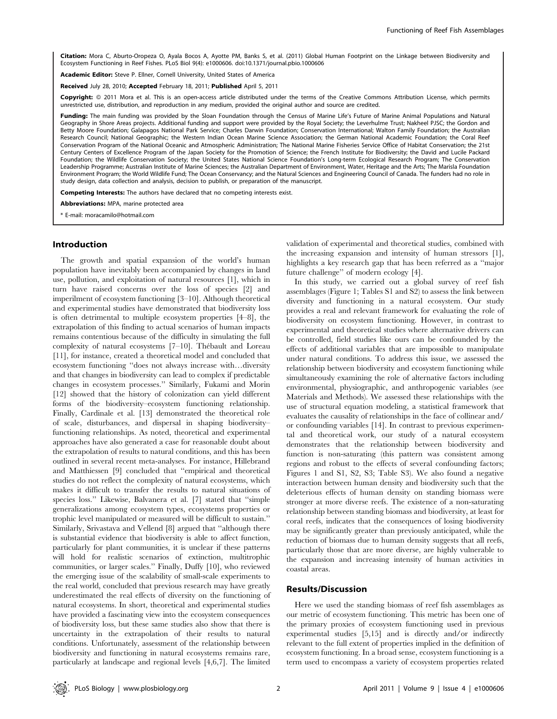Citation: Mora C, Aburto-Oropeza O, Ayala Bocos A, Ayotte PM, Banks S, et al. (2011) Global Human Footprint on the Linkage between Biodiversity and Ecosystem Functioning in Reef Fishes. PLoS Biol 9(4): e1000606. doi:10.1371/journal.pbio.1000606

Academic Editor: Steve P. Ellner, Cornell University, United States of America

Received July 28, 2010; Accepted February 18, 2011; Published April 5, 2011

Copyright: © 2011 Mora et al. This is an open-access article distributed under the terms of the Creative Commons Attribution License, which permits restricted use, distribution, and reproduction in any medium, provided the original author and source are credited

Funding: The main funding was provided by the Sloan Foundation through the Census of Marine Life's Future of Marine Animal Populations and Natural Geography in Shore Areas projects. Additional funding and support were provided by the Royal Society; the Leverhulme Trust; Nakheel PJSC; the Gordon and Betty Moore Foundation; Galapagos National Park Service; Charles Darwin Foundation; Conservation International; Walton Family Foundation; the Australian Research Council; National Geographic; the Western Indian Ocean Marine Science Association; the German National Academic Foundation; the Coral Reef Conservation Program of the National Oceanic and Atmospheric Administration; The National Marine Fisheries Service Office of Habitat Conservation; the 21st Century Centers of Excellence Program of the Japan Society for the Promotion of Science; the French Institute for Biodiversity; the David and Lucile Packard Foundation; the Wildlife Conservation Society; the United States National Science Foundation's Long-term Ecological Research Program; The Conservation Leadership Programme; Australian Institute of Marine Sciences; the Australian Department of Environment, Water, Heritage and the Arts; The Marisla Foundation Environment Program; the World Wildlife Fund; The Ocean Conservancy; and the Natural Sciences and Engineering Council of Canada. The funders had no role in study design, data collection and analysis, decision to publish, or preparation of the manuscript.

Competing Interests: The authors have declared that no competing interests exist.

Abbreviations: MPA, marine protected area

\* E-mail: moracamilo@hotmail.com

### Introduction

The growth and spatial expansion of the world's human population have inevitably been accompanied by changes in land use, pollution, and exploitation of natural resources [1], which in turn have raised concerns over the loss of species [2] and imperilment of ecosystem functioning [3–10]. Although theoretical and experimental studies have demonstrated that biodiversity loss is often detrimental to multiple ecosystem properties [4–8], the extrapolation of this finding to actual scenarios of human impacts remains contentious because of the difficulty in simulating the full complexity of natural ecosystems  $[7-10]$ . Thébault and Loreau [11], for instance, created a theoretical model and concluded that ecosystem functioning ''does not always increase with…diversity and that changes in biodiversity can lead to complex if predictable changes in ecosystem processes.'' Similarly, Fukami and Morin [12] showed that the history of colonization can yield different forms of the biodiversity–ecosystem functioning relationship. Finally, Cardinale et al. [13] demonstrated the theoretical role of scale, disturbances, and dispersal in shaping biodiversity– functioning relationships. As noted, theoretical and experimental approaches have also generated a case for reasonable doubt about the extrapolation of results to natural conditions, and this has been outlined in several recent meta-analyses. For instance, Hillebrand and Matthiessen [9] concluded that ''empirical and theoretical studies do not reflect the complexity of natural ecosystems, which makes it difficult to transfer the results to natural situations of species loss.'' Likewise, Balvanera et al. [7] stated that ''simple generalizations among ecosystem types, ecosystems properties or trophic level manipulated or measured will be difficult to sustain.'' Similarly, Srivastava and Vellend [8] argued that ''although there is substantial evidence that biodiversity is able to affect function, particularly for plant communities, it is unclear if these patterns will hold for realistic scenarios of extinction, multitrophic communities, or larger scales.'' Finally, Duffy [10], who reviewed the emerging issue of the scalability of small-scale experiments to the real world, concluded that previous research may have greatly underestimated the real effects of diversity on the functioning of natural ecosystems. In short, theoretical and experimental studies have provided a fascinating view into the ecosystem consequences of biodiversity loss, but these same studies also show that there is uncertainty in the extrapolation of their results to natural conditions. Unfortunately, assessment of the relationship between biodiversity and functioning in natural ecosystems remains rare, particularly at landscape and regional levels [4,6,7]. The limited

validation of experimental and theoretical studies, combined with the increasing expansion and intensity of human stressors [1], highlights a key research gap that has been referred as a ''major future challenge'' of modern ecology [4].

In this study, we carried out a global survey of reef fish assemblages (Figure 1; Tables S1 and S2) to assess the link between diversity and functioning in a natural ecosystem. Our study provides a real and relevant framework for evaluating the role of biodiversity on ecosystem functioning. However, in contrast to experimental and theoretical studies where alternative drivers can be controlled, field studies like ours can be confounded by the effects of additional variables that are impossible to manipulate under natural conditions. To address this issue, we assessed the relationship between biodiversity and ecosystem functioning while simultaneously examining the role of alternative factors including environmental, physiographic, and anthropogenic variables (see Materials and Methods). We assessed these relationships with the use of structural equation modeling, a statistical framework that evaluates the causality of relationships in the face of collinear and/ or confounding variables [14]. In contrast to previous experimental and theoretical work, our study of a natural ecosystem demonstrates that the relationship between biodiversity and function is non-saturating (this pattern was consistent among regions and robust to the effects of several confounding factors; Figures 1 and S1, S2, S3; Table S3). We also found a negative interaction between human density and biodiversity such that the deleterious effects of human density on standing biomass were stronger at more diverse reefs. The existence of a non-saturating relationship between standing biomass and biodiversity, at least for coral reefs, indicates that the consequences of losing biodiversity may be significantly greater than previously anticipated, while the reduction of biomass due to human density suggests that all reefs, particularly those that are more diverse, are highly vulnerable to the expansion and increasing intensity of human activities in coastal areas.

# Results/Discussion

Here we used the standing biomass of reef fish assemblages as our metric of ecosystem functioning. This metric has been one of the primary proxies of ecosystem functioning used in previous experimental studies [5,15] and is directly and/or indirectly relevant to the full extent of properties implied in the definition of ecosystem functioning. In a broad sense, ecosystem functioning is a term used to encompass a variety of ecosystem properties related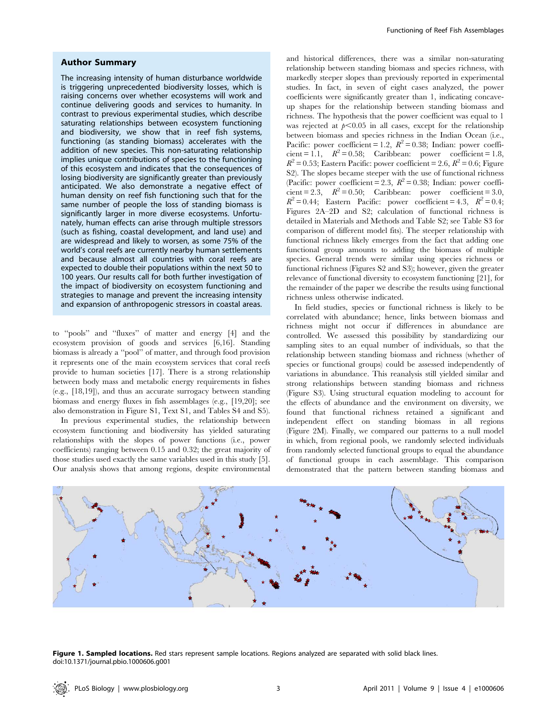#### Author Summary

The increasing intensity of human disturbance worldwide is triggering unprecedented biodiversity losses, which is raising concerns over whether ecosystems will work and continue delivering goods and services to humanity. In contrast to previous experimental studies, which describe saturating relationships between ecosystem functioning and biodiversity, we show that in reef fish systems, functioning (as standing biomass) accelerates with the addition of new species. This non-saturating relationship implies unique contributions of species to the functioning of this ecosystem and indicates that the consequences of losing biodiversity are significantly greater than previously anticipated. We also demonstrate a negative effect of human density on reef fish functioning such that for the same number of people the loss of standing biomass is significantly larger in more diverse ecosystems. Unfortunately, human effects can arise through multiple stressors (such as fishing, coastal development, and land use) and are widespread and likely to worsen, as some 75% of the world's coral reefs are currently nearby human settlements and because almost all countries with coral reefs are expected to double their populations within the next 50 to 100 years. Our results call for both further investigation of the impact of biodiversity on ecosystem functioning and strategies to manage and prevent the increasing intensity and expansion of anthropogenic stressors in coastal areas.

to ''pools'' and ''fluxes'' of matter and energy [4] and the ecosystem provision of goods and services [6,16]. Standing biomass is already a ''pool'' of matter, and through food provision it represents one of the main ecosystem services that coral reefs provide to human societies [17]. There is a strong relationship between body mass and metabolic energy requirements in fishes (e.g., [18,19]), and thus an accurate surrogacy between standing biomass and energy fluxes in fish assemblages (e.g., [19,20]; see also demonstration in Figure S1, Text S1, and Tables S4 and S5).

In previous experimental studies, the relationship between ecosystem functioning and biodiversity has yielded saturating relationships with the slopes of power functions (i.e., power coefficients) ranging between 0.15 and 0.32; the great majority of those studies used exactly the same variables used in this study [5]. Our analysis shows that among regions, despite environmental and historical differences, there was a similar non-saturating relationship between standing biomass and species richness, with markedly steeper slopes than previously reported in experimental studies. In fact, in seven of eight cases analyzed, the power coefficients were significantly greater than 1, indicating concaveup shapes for the relationship between standing biomass and richness. The hypothesis that the power coefficient was equal to 1 was rejected at  $p<0.05$  in all cases, except for the relationship between biomass and species richness in the Indian Ocean (i.e., Pacific: power coefficient = 1.2,  $R^2 = 0.38$ ; Indian: power coefficient = 1.1,  $R^2 = 0.58$ ; Caribbean: power coefficient = 1.8,  $R^2$  = 0.53; Eastern Pacific: power coefficient = 2.6,  $R^2$  = 0.6; Figure S2). The slopes became steeper with the use of functional richness (Pacific: power coefficient = 2.3,  $R^2$  = 0.38; Indian: power coefficient = 2.3,  $R^2 = 0.50$ ; Caribbean: power coefficient = 3.0,  $R^2 = 0.44$ ; Eastern Pacific: power coefficient = 4.3,  $R^2 = 0.4$ ; Figures 2A–2D and S2; calculation of functional richness is detailed in Materials and Methods and Table S2; see Table S3 for comparison of different model fits). The steeper relationship with functional richness likely emerges from the fact that adding one functional group amounts to adding the biomass of multiple species. General trends were similar using species richness or functional richness (Figures S2 and S3); however, given the greater relevance of functional diversity to ecosystem functioning [21], for the remainder of the paper we describe the results using functional richness unless otherwise indicated.

In field studies, species or functional richness is likely to be correlated with abundance; hence, links between biomass and richness might not occur if differences in abundance are controlled. We assessed this possibility by standardizing our sampling sites to an equal number of individuals, so that the relationship between standing biomass and richness (whether of species or functional groups) could be assessed independently of variations in abundance. This reanalysis still yielded similar and strong relationships between standing biomass and richness (Figure S3). Using structural equation modeling to account for the effects of abundance and the environment on diversity, we found that functional richness retained a significant and independent effect on standing biomass in all regions (Figure 2M). Finally, we compared our patterns to a null model in which, from regional pools, we randomly selected individuals from randomly selected functional groups to equal the abundance of functional groups in each assemblage. This comparison demonstrated that the pattern between standing biomass and



Figure 1. Sampled locations. Red stars represent sample locations. Regions analyzed are separated with solid black lines. doi:10.1371/journal.pbio.1000606.g001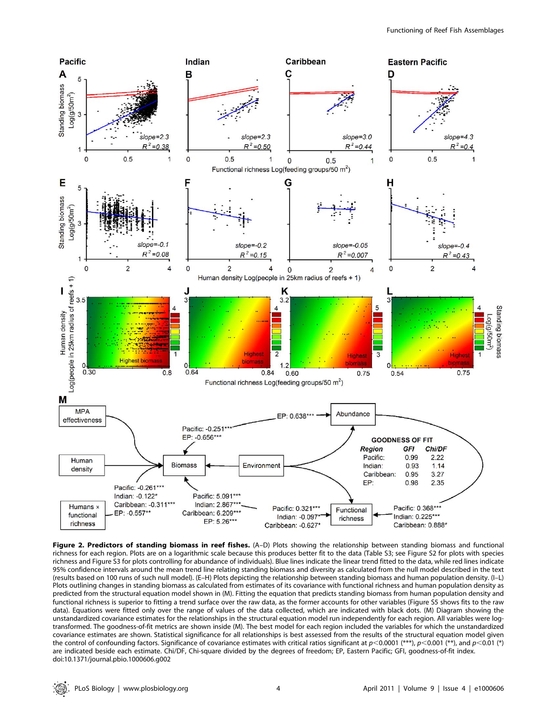

Figure 2. Predictors of standing biomass in reef fishes. (A-D) Plots showing the relationship between standing biomass and functional richness for each region. Plots are on a logarithmic scale because this produces better fit to the data (Table S3; see Figure S2 for plots with species richness and Figure S3 for plots controlling for abundance of individuals). Blue lines indicate the linear trend fitted to the data, while red lines indicate 95% confidence intervals around the mean trend line relating standing biomass and diversity as calculated from the null model described in the text (results based on 100 runs of such null model). (E–H) Plots depicting the relationship between standing biomass and human population density. (I–L) Plots outlining changes in standing biomass as calculated from estimates of its covariance with functional richness and human population density as predicted from the structural equation model shown in (M). Fitting the equation that predicts standing biomass from human population density and functional richness is superior to fitting a trend surface over the raw data, as the former accounts for other variables (Figure S5 shows fits to the raw data). Equations were fitted only over the range of values of the data collected, which are indicated with black dots. (M) Diagram showing the unstandardized covariance estimates for the relationships in the structural equation model run independently for each region. All variables were logtransformed. The goodness-of-fit metrics are shown inside (M). The best model for each region included the variables for which the unstandardized covariance estimates are shown. Statistical significance for all relationships is best assessed from the results of the structural equation model given the control of confounding factors. Significance of covariance estimates with critical ratios significant at  $p<0.0001$  (\*\*\*),  $p<0.001$  (\*\*), and  $p<0.01$  (\*) are indicated beside each estimate. Chi/DF, Chi-square divided by the degrees of freedom; EP, Eastern Pacific; GFI, goodness-of-fit index. doi:10.1371/journal.pbio.1000606.g002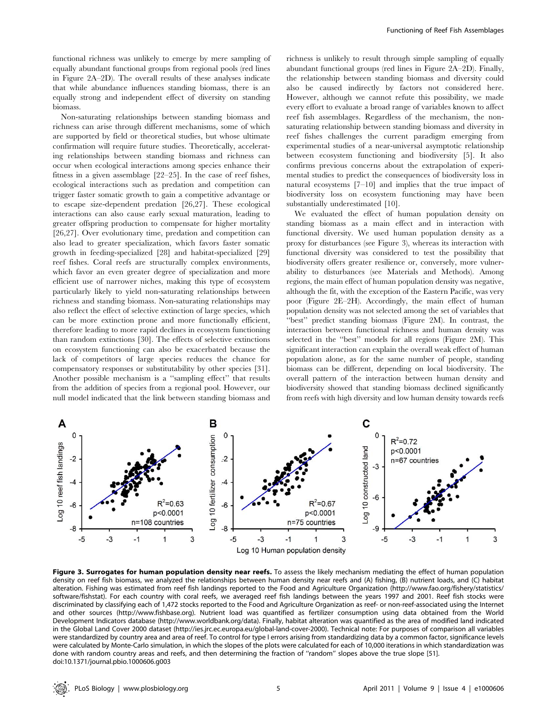functional richness was unlikely to emerge by mere sampling of equally abundant functional groups from regional pools (red lines in Figure 2A–2D). The overall results of these analyses indicate that while abundance influences standing biomass, there is an equally strong and independent effect of diversity on standing biomass.

Non-saturating relationships between standing biomass and richness can arise through different mechanisms, some of which are supported by field or theoretical studies, but whose ultimate confirmation will require future studies. Theoretically, accelerating relationships between standing biomass and richness can occur when ecological interactions among species enhance their fitness in a given assemblage [22–25]. In the case of reef fishes, ecological interactions such as predation and competition can trigger faster somatic growth to gain a competitive advantage or to escape size-dependent predation [26,27]. These ecological interactions can also cause early sexual maturation, leading to greater offspring production to compensate for higher mortality [26,27]. Over evolutionary time, predation and competition can also lead to greater specialization, which favors faster somatic growth in feeding-specialized [28] and habitat-specialized [29] reef fishes. Coral reefs are structurally complex environments, which favor an even greater degree of specialization and more efficient use of narrower niches, making this type of ecosystem particularly likely to yield non-saturating relationships between richness and standing biomass. Non-saturating relationships may also reflect the effect of selective extinction of large species, which can be more extinction prone and more functionally efficient, therefore leading to more rapid declines in ecosystem functioning than random extinctions [30]. The effects of selective extinctions on ecosystem functioning can also be exacerbated because the lack of competitors of large species reduces the chance for compensatory responses or substitutability by other species [31]. Another possible mechanism is a ''sampling effect'' that results from the addition of species from a regional pool. However, our null model indicated that the link between standing biomass and richness is unlikely to result through simple sampling of equally abundant functional groups (red lines in Figure 2A–2D). Finally, the relationship between standing biomass and diversity could also be caused indirectly by factors not considered here. However, although we cannot refute this possibility, we made every effort to evaluate a broad range of variables known to affect reef fish assemblages. Regardless of the mechanism, the nonsaturating relationship between standing biomass and diversity in reef fishes challenges the current paradigm emerging from experimental studies of a near-universal asymptotic relationship between ecosystem functioning and biodiversity [5]. It also confirms previous concerns about the extrapolation of experimental studies to predict the consequences of biodiversity loss in natural ecosystems [7–10] and implies that the true impact of biodiversity loss on ecosystem functioning may have been substantially underestimated [10].

We evaluated the effect of human population density on standing biomass as a main effect and in interaction with functional diversity. We used human population density as a proxy for disturbances (see Figure 3), whereas its interaction with functional diversity was considered to test the possibility that biodiversity offers greater resilience or, conversely, more vulnerability to disturbances (see Materials and Methods). Among regions, the main effect of human population density was negative, although the fit, with the exception of the Eastern Pacific, was very poor (Figure 2E–2H). Accordingly, the main effect of human population density was not selected among the set of variables that ''best'' predict standing biomass (Figure 2M). In contrast, the interaction between functional richness and human density was selected in the ''best'' models for all regions (Figure 2M). This significant interaction can explain the overall weak effect of human population alone, as for the same number of people, standing biomass can be different, depending on local biodiversity. The overall pattern of the interaction between human density and biodiversity showed that standing biomass declined significantly from reefs with high diversity and low human density towards reefs



Figure 3. Surrogates for human population density near reefs. To assess the likely mechanism mediating the effect of human population density on reef fish biomass, we analyzed the relationships between human density near reefs and (A) fishing, (B) nutrient loads, and (C) habitat alteration. Fishing was estimated from reef fish landings reported to the Food and Agriculture Organization (http://www.fao.org/fishery/statistics/ software/fishstat). For each country with coral reefs, we averaged reef fish landings between the years 1997 and 2001. Reef fish stocks were discriminated by classifying each of 1,472 stocks reported to the Food and Agriculture Organization as reef- or non-reef-associated using the Internet and other sources (http://www.fishbase.org). Nutrient load was quantified as fertilizer consumption using data obtained from the World Development Indicators database (http://www.worldbank.org/data). Finally, habitat alteration was quantified as the area of modified land indicated in the Global Land Cover 2000 dataset (http://ies.jrc.ec.europa.eu/global-land-cover-2000). Technical note: For purposes of comparison all variables were standardized by country area and area of reef. To control for type I errors arising from standardizing data by a common factor, significance levels were calculated by Monte-Carlo simulation, in which the slopes of the plots were calculated for each of 10,000 iterations in which standardization was done with random country areas and reefs, and then determining the fraction of ''random'' slopes above the true slope [51]. doi:10.1371/journal.pbio.1000606.g003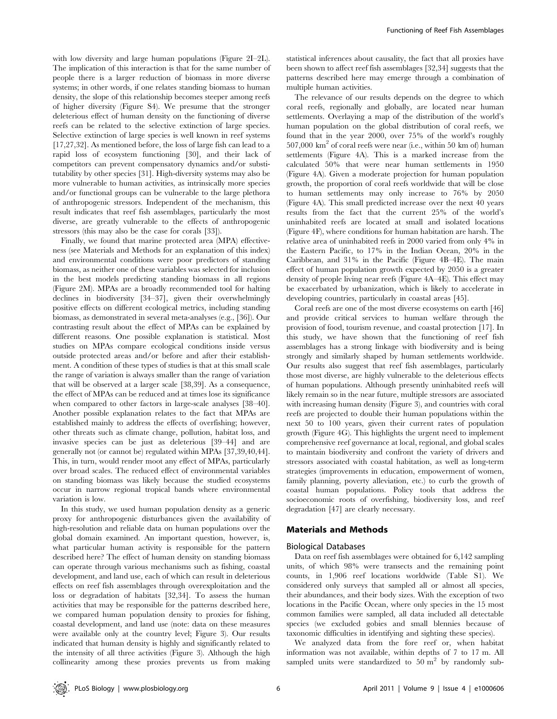with low diversity and large human populations (Figure 2I–2L). The implication of this interaction is that for the same number of people there is a larger reduction of biomass in more diverse systems; in other words, if one relates standing biomass to human density, the slope of this relationship becomes steeper among reefs of higher diversity (Figure S4). We presume that the stronger deleterious effect of human density on the functioning of diverse reefs can be related to the selective extinction of large species. Selective extinction of large species is well known in reef systems [17,27,32]. As mentioned before, the loss of large fish can lead to a rapid loss of ecosystem functioning [30], and their lack of competitors can prevent compensatory dynamics and/or substitutability by other species [31]. High-diversity systems may also be more vulnerable to human activities, as intrinsically more species and/or functional groups can be vulnerable to the large plethora of anthropogenic stressors. Independent of the mechanism, this result indicates that reef fish assemblages, particularly the most diverse, are greatly vulnerable to the effects of anthropogenic stressors (this may also be the case for corals [33]).

Finally, we found that marine protected area (MPA) effectiveness (see Materials and Methods for an explanation of this index) and environmental conditions were poor predictors of standing biomass, as neither one of these variables was selected for inclusion in the best models predicting standing biomass in all regions (Figure 2M). MPAs are a broadly recommended tool for halting declines in biodiversity [34–37], given their overwhelmingly positive effects on different ecological metrics, including standing biomass, as demonstrated in several meta-analyses (e.g., [36]). Our contrasting result about the effect of MPAs can be explained by different reasons. One possible explanation is statistical. Most studies on MPAs compare ecological conditions inside versus outside protected areas and/or before and after their establishment. A condition of these types of studies is that at this small scale the range of variation is always smaller than the range of variation that will be observed at a larger scale [38,39]. As a consequence, the effect of MPAs can be reduced and at times lose its significance when compared to other factors in large-scale analyses [38–40]. Another possible explanation relates to the fact that MPAs are established mainly to address the effects of overfishing; however, other threats such as climate change, pollution, habitat loss, and invasive species can be just as deleterious [39–44] and are generally not (or cannot be) regulated within MPAs [37,39,40,44]. This, in turn, would render moot any effect of MPAs, particularly over broad scales. The reduced effect of environmental variables on standing biomass was likely because the studied ecosystems occur in narrow regional tropical bands where environmental variation is low.

In this study, we used human population density as a generic proxy for anthropogenic disturbances given the availability of high-resolution and reliable data on human populations over the global domain examined. An important question, however, is, what particular human activity is responsible for the pattern described here? The effect of human density on standing biomass can operate through various mechanisms such as fishing, coastal development, and land use, each of which can result in deleterious effects on reef fish assemblages through overexploitation and the loss or degradation of habitats [32,34]. To assess the human activities that may be responsible for the patterns described here, we compared human population density to proxies for fishing, coastal development, and land use (note: data on these measures were available only at the country level; Figure 3). Our results indicated that human density is highly and significantly related to the intensity of all three activities (Figure 3). Although the high collinearity among these proxies prevents us from making

statistical inferences about causality, the fact that all proxies have been shown to affect reef fish assemblages [32,34] suggests that the patterns described here may emerge through a combination of multiple human activities.

The relevance of our results depends on the degree to which coral reefs, regionally and globally, are located near human settlements. Overlaying a map of the distribution of the world's human population on the global distribution of coral reefs, we found that in the year 2000, over 75% of the world's roughly  $507,000 \text{ km}^2$  of coral reefs were near (i.e., within 50 km of) human settlements (Figure 4A). This is a marked increase from the calculated 50% that were near human settlements in 1950 (Figure 4A). Given a moderate projection for human population growth, the proportion of coral reefs worldwide that will be close to human settlements may only increase to 76% by 2050 (Figure 4A). This small predicted increase over the next 40 years results from the fact that the current 25% of the world's uninhabited reefs are located at small and isolated locations (Figure 4F), where conditions for human habitation are harsh. The relative area of uninhabited reefs in 2000 varied from only 4% in the Eastern Pacific, to 17% in the Indian Ocean, 20% in the Caribbean, and 31% in the Pacific (Figure 4B–4E). The main effect of human population growth expected by 2050 is a greater density of people living near reefs (Figure 4A–4E). This effect may be exacerbated by urbanization, which is likely to accelerate in developing countries, particularly in coastal areas [45].

Coral reefs are one of the most diverse ecosystems on earth [46] and provide critical services to human welfare through the provision of food, tourism revenue, and coastal protection [17]. In this study, we have shown that the functioning of reef fish assemblages has a strong linkage with biodiversity and is being strongly and similarly shaped by human settlements worldwide. Our results also suggest that reef fish assemblages, particularly those most diverse, are highly vulnerable to the deleterious effects of human populations. Although presently uninhabited reefs will likely remain so in the near future, multiple stressors are associated with increasing human density (Figure 3), and countries with coral reefs are projected to double their human populations within the next 50 to 100 years, given their current rates of population growth (Figure 4G). This highlights the urgent need to implement comprehensive reef governance at local, regional, and global scales to maintain biodiversity and confront the variety of drivers and stressors associated with coastal habitation, as well as long-term strategies (improvements in education, empowerment of women, family planning, poverty alleviation, etc.) to curb the growth of coastal human populations. Policy tools that address the socioeconomic roots of overfishing, biodiversity loss, and reef degradation [47] are clearly necessary.

#### Materials and Methods

#### Biological Databases

Data on reef fish assemblages were obtained for 6,142 sampling units, of which 98% were transects and the remaining point counts, in 1,906 reef locations worldwide (Table S1). We considered only surveys that sampled all or almost all species, their abundances, and their body sizes. With the exception of two locations in the Pacific Ocean, where only species in the 15 most common families were sampled, all data included all detectable species (we excluded gobies and small blennies because of taxonomic difficulties in identifying and sighting these species).

We analyzed data from the fore reef or, when habitat information was not available, within depths of 7 to 17 m. All sampled units were standardized to  $50 \text{ m}^2$  by randomly sub-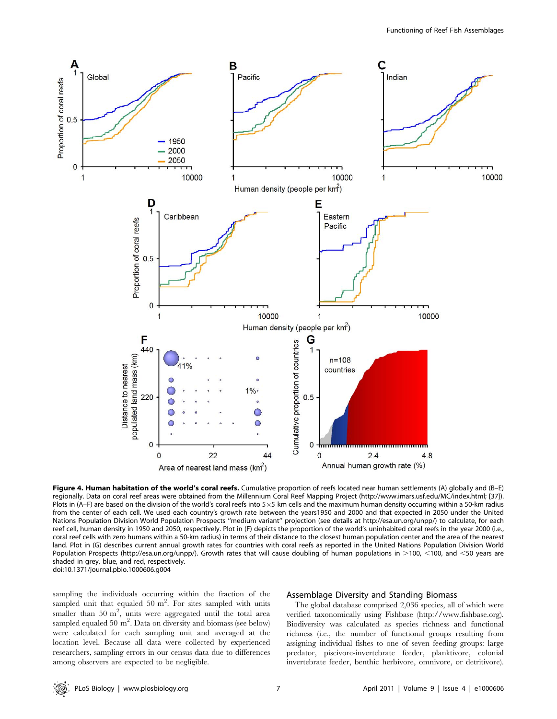

Figure 4. Human habitation of the world's coral reefs. Cumulative proportion of reefs located near human settlements (A) globally and (B-E) regionally. Data on coral reef areas were obtained from the Millennium Coral Reef Mapping Project (http://www.imars.usf.edu/MC/index.html; [37]). Plots in (A–F) are based on the division of the world's coral reefs into  $5\times5$  km cells and the maximum human density occurring within a 50-km radius from the center of each cell. We used each country's growth rate between the years1950 and 2000 and that expected in 2050 under the United Nations Population Division World Population Prospects ''medium variant'' projection (see details at http://esa.un.org/unpp/) to calculate, for each reef cell, human density in 1950 and 2050, respectively. Plot in (F) depicts the proportion of the world's uninhabited coral reefs in the year 2000 (i.e., coral reef cells with zero humans within a 50-km radius) in terms of their distance to the closest human population center and the area of the nearest land. Plot in (G) describes current annual growth rates for countries with coral reefs as reported in the United Nations Population Division World Population Prospects (http://esa.un.org/unpp/). Growth rates that will cause doubling of human populations in  $>$ 100, <100, and <50 years are shaded in grey, blue, and red, respectively. doi:10.1371/journal.pbio.1000606.g004

sampling the individuals occurring within the fraction of the sampled unit that equaled  $50 \text{ m}^2$ . For sites sampled with units smaller than 50  $m^2$ , units were aggregated until the total area sampled equaled 50  $m^2$ . Data on diversity and biomass (see below) were calculated for each sampling unit and averaged at the location level. Because all data were collected by experienced researchers, sampling errors in our census data due to differences among observers are expected to be negligible.

# Assemblage Diversity and Standing Biomass

The global database comprised 2,036 species, all of which were verified taxonomically using Fishbase (http://www.fishbase.org). Biodiversity was calculated as species richness and functional richness (i.e., the number of functional groups resulting from assigning individual fishes to one of seven feeding groups: large predator, piscivore-invertebrate feeder, planktivore, colonial invertebrate feeder, benthic herbivore, omnivore, or detritivore).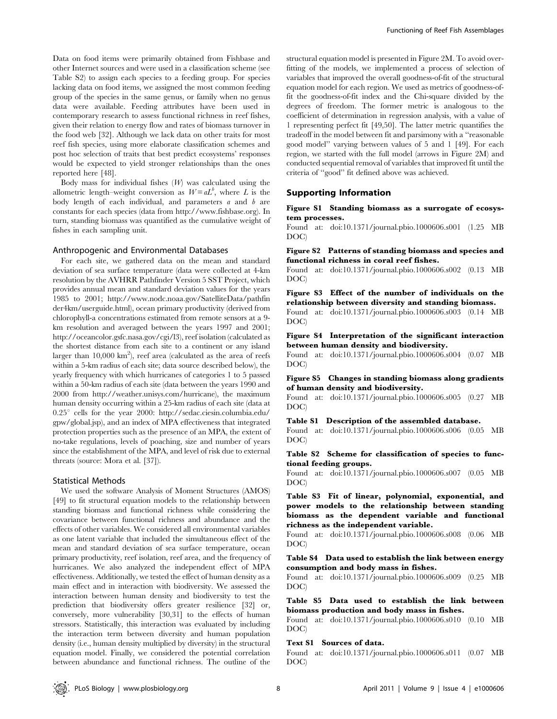Data on food items were primarily obtained from Fishbase and other Internet sources and were used in a classification scheme (see Table S2) to assign each species to a feeding group. For species lacking data on food items, we assigned the most common feeding group of the species in the same genus, or family when no genus data were available. Feeding attributes have been used in contemporary research to assess functional richness in reef fishes, given their relation to energy flow and rates of biomass turnover in the food web [32]. Although we lack data on other traits for most reef fish species, using more elaborate classification schemes and post hoc selection of traits that best predict ecosystems' responses would be expected to yield stronger relationships than the ones reported here [48].

Body mass for individual fishes  $(W)$  was calculated using the allometric length–weight conversion as  $W = aL^b$ , where L is the body length of each individual, and parameters  $a$  and  $b$  are constants for each species (data from http://www.fishbase.org). In turn, standing biomass was quantified as the cumulative weight of fishes in each sampling unit.

#### Anthropogenic and Environmental Databases

For each site, we gathered data on the mean and standard deviation of sea surface temperature (data were collected at 4-km resolution by the AVHRR Pathfinder Version 5 SST Project, which provides annual mean and standard deviation values for the years 1985 to 2001; http://www.nodc.noaa.gov/SatelliteData/pathfin der4km/userguide.html), ocean primary productivity (derived from chlorophyll-a concentrations estimated from remote sensors at a 9 km resolution and averaged between the years 1997 and 2001; http://oceancolor.gsfc.nasa.gov/cgi/l3), reef isolation (calculated as the shortest distance from each site to a continent or any island larger than 10,000 km<sup>2</sup>), reef area (calculated as the area of reefs within a 5-km radius of each site; data source described below), the yearly frequency with which hurricanes of categories 1 to 5 passed within a 50-km radius of each site (data between the years 1990 and 2000 from http://weather.unisys.com/hurricane), the maximum human density occurring within a 25-km radius of each site (data at  $0.25^{\circ}$  cells for the year 2000: http://sedac.ciesin.columbia.edu/ gpw/global.jsp), and an index of MPA effectiveness that integrated protection properties such as the presence of an MPA, the extent of no-take regulations, levels of poaching, size and number of years since the establishment of the MPA, and level of risk due to external threats (source: Mora et al. [37]).

#### Statistical Methods

We used the software Analysis of Moment Structures (AMOS) [49] to fit structural equation models to the relationship between standing biomass and functional richness while considering the covariance between functional richness and abundance and the effects of other variables. We considered all environmental variables as one latent variable that included the simultaneous effect of the mean and standard deviation of sea surface temperature, ocean primary productivity, reef isolation, reef area, and the frequency of hurricanes. We also analyzed the independent effect of MPA effectiveness. Additionally, we tested the effect of human density as a main effect and in interaction with biodiversity. We assessed the interaction between human density and biodiversity to test the prediction that biodiversity offers greater resilience [32] or, conversely, more vulnerability [30,31] to the effects of human stressors. Statistically, this interaction was evaluated by including the interaction term between diversity and human population density (i.e., human density multiplied by diversity) in the structural equation model. Finally, we considered the potential correlation between abundance and functional richness. The outline of the structural equation model is presented in Figure 2M. To avoid overfitting of the models, we implemented a process of selection of variables that improved the overall goodness-of-fit of the structural equation model for each region. We used as metrics of goodness-offit the goodness-of-fit index and the Chi-square divided by the degrees of freedom. The former metric is analogous to the coefficient of determination in regression analysis, with a value of 1 representing perfect fit [49,50]. The latter metric quantifies the tradeoff in the model between fit and parsimony with a ''reasonable good model'' varying between values of 5 and 1 [49]. For each region, we started with the full model (arrows in Figure 2M) and conducted sequential removal of variables that improved fit until the criteria of ''good'' fit defined above was achieved.

#### Supporting Information

Figure S1 Standing biomass as a surrogate of ecosystem processes.

Found at: doi:10.1371/journal.pbio.1000606.s001 (1.25 MB DOC)

Figure S2 Patterns of standing biomass and species and functional richness in coral reef fishes.

Found at: doi:10.1371/journal.pbio.1000606.s002 (0.13 MB DOC)

Figure S3 Effect of the number of individuals on the relationship between diversity and standing biomass.

Found at: doi:10.1371/journal.pbio.1000606.s003 (0.14 MB DOC)

Figure S4 Interpretation of the significant interaction between human density and biodiversity.

Found at: doi:10.1371/journal.pbio.1000606.s004 (0.07 MB DOC)

Figure S5 Changes in standing biomass along gradients of human density and biodiversity.

Found at: doi:10.1371/journal.pbio.1000606.s005 (0.27 MB DOC)

Table S1 Description of the assembled database.

Found at: doi:10.1371/journal.pbio.1000606.s006 (0.05 MB DOC)

Table S2 Scheme for classification of species to functional feeding groups.

Found at: doi:10.1371/journal.pbio.1000606.s007 (0.05 MB DOC)

Table S3 Fit of linear, polynomial, exponential, and power models to the relationship between standing biomass as the dependent variable and functional richness as the independent variable.

Found at: doi:10.1371/journal.pbio.1000606.s008 (0.06 MB DOC)

Table S4 Data used to establish the link between energy consumption and body mass in fishes.

Found at: doi:10.1371/journal.pbio.1000606.s009 (0.25 MB DOC)

Table S5 Data used to establish the link between biomass production and body mass in fishes.

Found at: doi:10.1371/journal.pbio.1000606.s010 (0.10 MB DOC)

# Text S1 Sources of data.

Found at: doi:10.1371/journal.pbio.1000606.s011 (0.07 MB DOC)